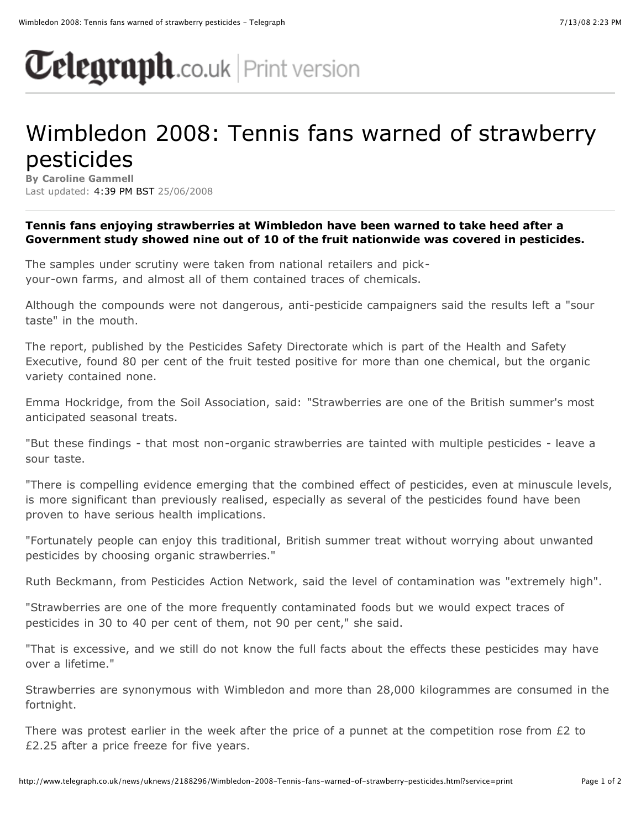## $\sigma$ elegraph.co.uk | Print version

## Wimbledon 2008: Tennis fans warned of strawberry pesticides

**By Caroline Gammell** Last updated: 4:39 PM BST 25/06/2008

## **Tennis fans enjoying strawberries at Wimbledon have been warned to take heed after a Government study showed nine out of 10 of the fruit nationwide was covered in pesticides.**

The samples under scrutiny were taken from national retailers and pickyour-own farms, and almost all of them contained traces of chemicals.

Although the compounds were not dangerous, anti-pesticide campaigners said the results left a "sour taste" in the mouth.

The report, published by the Pesticides Safety Directorate which is part of the Health and Safety Executive, found 80 per cent of the fruit tested positive for more than one chemical, but the organic variety contained none.

Emma Hockridge, from the Soil Association, said: "Strawberries are one of the British summer's most anticipated seasonal treats.

"But these findings - that most non-organic strawberries are tainted with multiple pesticides - leave a sour taste.

"There is compelling evidence emerging that the combined effect of pesticides, even at minuscule levels, is more significant than previously realised, especially as several of the pesticides found have been proven to have serious health implications.

"Fortunately people can enjoy this traditional, British summer treat without worrying about unwanted pesticides by choosing organic strawberries."

Ruth Beckmann, from Pesticides Action Network, said the level of contamination was "extremely high".

"Strawberries are one of the more frequently contaminated foods but we would expect traces of pesticides in 30 to 40 per cent of them, not 90 per cent," she said.

"That is excessive, and we still do not know the full facts about the effects these pesticides may have over a lifetime."

Strawberries are synonymous with Wimbledon and more than 28,000 kilogrammes are consumed in the fortnight.

There was protest earlier in the week after the price of a punnet at the competition rose from £2 to £2.25 after a price freeze for five years.